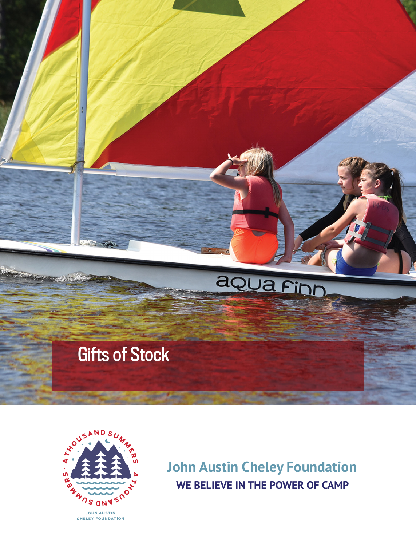



**John Austin Cheley Foundation WE BELIEVE IN THE POWER OF CAMP**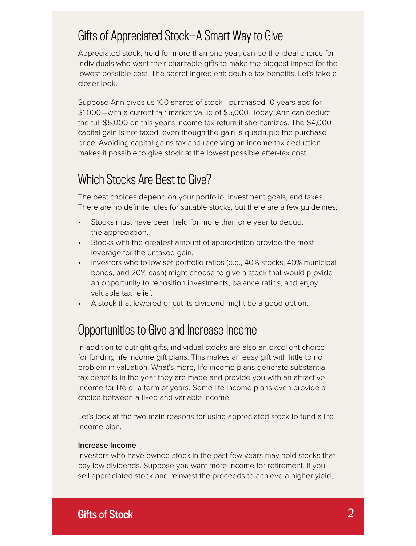### Gifts of Appreciated Stock—A Smart Way to Give

Appreciated stock, held for more than one year, can be the ideal choice for individuals who want their charitable gifts to make the biggest impact for the lowest possible cost. The secret ingredient: double tax benefits. Let's take a closer look.

Suppose Ann gives us 100 shares of stock—purchased 10 years ago for \$1,000—with a current fair market value of \$5,000. Today, Ann can deduct the full \$5,000 on this year's income tax return if she itemizes. The \$4,000 capital gain is not taxed, even though the gain is quadruple the purchase price. Avoiding capital gains tax and receiving an income tax deduction makes it possible to give stock at the lowest possible after-tax cost.

### Which Stocks Are Best to Give?

The best choices depend on your portfolio, investment goals, and taxes. There are no definite rules for suitable stocks, but there are a few quidelines:

- Stocks must have been held for more than one year to deduct the appreciation.
- Stocks with the greatest amount of appreciation provide the most leverage for the untaxed gain.
- Investors who follow set portfolio ratios (e.g., 40% stocks, 40% municipal bonds, and 20% cash) might choose to give a stock that would provide an opportunity to reposition investments, balance ratios, and enjoy valuable tax relief.
- A stock that lowered or cut its dividend might be a good option.

# Opportunities to Give and Increase Income

In addition to outright gifts, individual stocks are also an excellent choice for funding life income gift plans. This makes an easy gift with little to no problem in valuation. What's more, life income plans generate substantial tax benefits in the year they are made and provide you with an attractive income for life or a term of years. Some life income plans even provide a choice between a fixed and variable income.

Let's look at the two main reasons for using appreciated stock to fund a life income plan.

#### **Increase Income**

Investors who have owned stock in the past few years may hold stocks that pay low dividends. Suppose you want more income for retirement. If you sell appreciated stock and reinvest the proceeds to achieve a higher yield,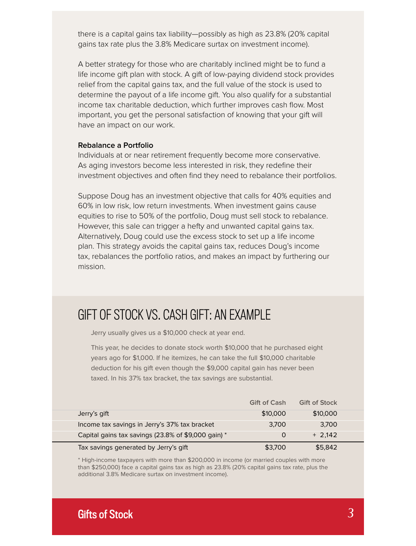there is a capital gains tax liability—possibly as high as 23.8% (20% capital gains tax rate plus the 3.8% Medicare surtax on investment income).

A better strategy for those who are charitably inclined might be to fund a life income gift plan with stock. A gift of low-paying dividend stock provides relief from the capital gains tax, and the full value of the stock is used to determine the payout of a life income gift. You also qualify for a substantial income tax charitable deduction, which further improves cash flow. Most important, you get the personal satisfaction of knowing that your gift will have an impact on our work.

#### **Rebalance a Portfolio**

Individuals at or near retirement frequently become more conservative. As aging investors become less interested in risk, they redefine their investment objectives and often find they need to rebalance their portfolios.

Suppose Doug has an investment objective that calls for 40% equities and 60% in low risk, low return investments. When investment gains cause equities to rise to 50% of the portfolio, Doug must sell stock to rebalance. However, this sale can trigger a hefty and unwanted capital gains tax. Alternatively, Doug could use the excess stock to set up a life income plan. This strategy avoids the capital gains tax, reduces Doug's income tax, rebalances the portfolio ratios, and makes an impact by furthering our mission.

#### GIFT OF STOCK VS. CASH GIFT: AN EXAMPLE

Jerry usually gives us a \$10,000 check at year end.

This year, he decides to donate stock worth \$10,000 that he purchased eight years ago for \$1,000. If he itemizes, he can take the full \$10,000 charitable deduction for his gift even though the \$9,000 capital gain has never been taxed. In his 37% tax bracket, the tax savings are substantial.

|                                                     | <b>Gift of Cash</b> | <b>Gift of Stock</b> |  |
|-----------------------------------------------------|---------------------|----------------------|--|
| Jerry's gift                                        | \$10,000            | \$10,000             |  |
| Income tax savings in Jerry's 37% tax bracket       | 3.700               | 3.700                |  |
| Capital gains tax savings (23.8% of \$9,000 gain) * |                     | $+2.142$             |  |
| Tax savings generated by Jerry's gift               | \$3,700             | \$5,842              |  |

\* High-income taxpayers with more than \$200,000 in income (or married couples with more than \$250,000) face a capital gains tax as high as 23.8% (20% capital gains tax rate, plus the additional 3.8% Medicare surtax on investment income).

# Gifts of Stock *3*